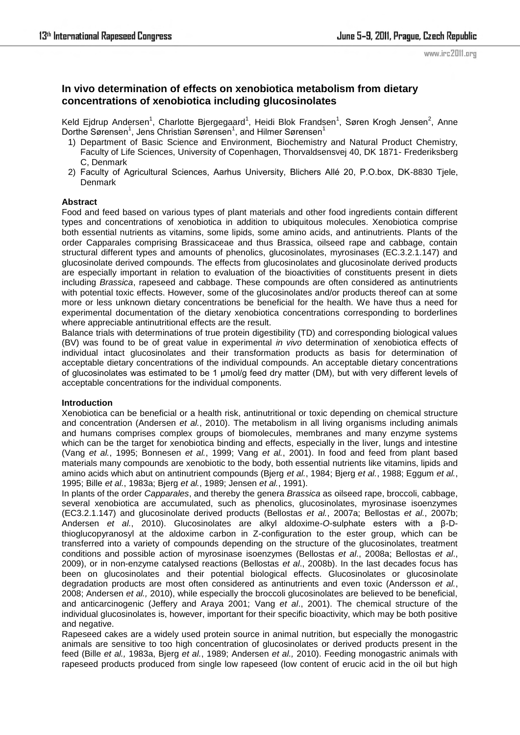# **In vivo determination of effects on xenobiotica metabolism from dietary concentrations of xenobiotica including glucosinolates**

Keld Ejdrup Andersen<sup>1</sup>, Charlotte Bjergegaard<sup>1</sup>, Heidi Blok Frandsen<sup>1</sup>, Søren Krogh Jensen<sup>2</sup>, Anne Dorthe Sørensen<sup>1</sup>, Jens Christian Sørensen<sup>1</sup>, and Hilmer Sørensen<sup>1</sup>

- 1) Department of Basic Science and Environment, Biochemistry and Natural Product Chemistry, Faculty of Life Sciences, University of Copenhagen, Thorvaldsensvej 40, DK 1871- Frederiksberg C, Denmark
- 2) Faculty of Agricultural Sciences, Aarhus University, Blichers Allé 20, P.O.box, DK-8830 Tjele, Denmark

## **Abstract**

Food and feed based on various types of plant materials and other food ingredients contain different types and concentrations of xenobiotica in addition to ubiquitous molecules. Xenobiotica comprise both essential nutrients as vitamins, some lipids, some amino acids, and antinutrients. Plants of the order Capparales comprising Brassicaceae and thus Brassica, oilseed rape and cabbage, contain structural different types and amounts of phenolics, glucosinolates, myrosinases (EC.3.2.1.147) and glucosinolate derived compounds. The effects from glucosinolates and glucosinolate derived products are especially important in relation to evaluation of the bioactivities of constituents present in diets including *Brassica*, rapeseed and cabbage. These compounds are often considered as antinutrients with potential toxic effects. However, some of the glucosinolates and/or products thereof can at some more or less unknown dietary concentrations be beneficial for the health. We have thus a need for experimental documentation of the dietary xenobiotica concentrations corresponding to borderlines where appreciable antinutritional effects are the result.

Balance trials with determinations of true protein digestibility (TD) and corresponding biological values (BV) was found to be of great value in experimental *in vivo* determination of xenobiotica effects of individual intact glucosinolates and their transformation products as basis for determination of acceptable dietary concentrations of the individual compounds. An acceptable dietary concentrations of glucosinolates was estimated to be 1 µmol/g feed dry matter (DM), but with very different levels of acceptable concentrations for the individual components.

#### **Introduction**

Xenobiotica can be beneficial or a health risk, antinutritional or toxic depending on chemical structure and concentration (Andersen *et al.*, 2010). The metabolism in all living organisms including animals and humans comprises complex groups of biomolecules, membranes and many enzyme systems which can be the target for xenobiotica binding and effects, especially in the liver, lungs and intestine (Vang *et al.*, 1995; Bonnesen *et al.*, 1999; Vang *et al.*, 2001). In food and feed from plant based materials many compounds are xenobiotic to the body, both essential nutrients like vitamins, lipids and amino acids which abut on antinutrient compounds (Bjerg *et al.*, 1984; Bjerg *et al.*, 1988; Eggum *et al.*, 1995; Bille *et al.*, 1983a; Bjerg *et al.*, 1989; Jensen *et al.*, 1991).

In plants of the order *Capparales*, and thereby the genera *Brassica* as oilseed rape, broccoli, cabbage, several xenobiotica are accumulated, such as phenolics, glucosinolates, myrosinase isoenzymes (EC3.2.1.147) and glucosinolate derived products (Bellostas *et al.*, 2007a; Bellostas *et al.*, 2007b; Andersen *et al.*, 2010). Glucosinolates are alkyl aldoxime-*O*-sulphate esters with a β-Dthioglucopyranosyl at the aldoxime carbon in Z-configuration to the ester group, which can be transferred into a variety of compounds depending on the structure of the glucosinolates, treatment conditions and possible action of myrosinase isoenzymes (Bellostas *et al*., 2008a; Bellostas *et al*., 2009), or in non-enzyme catalysed reactions (Bellostas *et al*., 2008b). In the last decades focus has been on glucosinolates and their potential biological effects. Glucosinolates or glucosinolate degradation products are most often considered as antinutrients and even toxic (Andersson *et al.*, 2008; Andersen *et al.,* 2010), while especially the broccoli glucosinolates are believed to be beneficial, and anticarcinogenic (Jeffery and Araya 2001; Vang *et al*., 2001). The chemical structure of the individual glucosinolates is, however, important for their specific bioactivity, which may be both positive and negative.

Rapeseed cakes are a widely used protein source in animal nutrition, but especially the monogastric animals are sensitive to too high concentration of glucosinolates or derived products present in the feed (Bille *et al.,* 1983a, Bjerg *et al.*, 1989; Andersen *et al.,* 2010). Feeding monogastric animals with rapeseed products produced from single low rapeseed (low content of erucic acid in the oil but high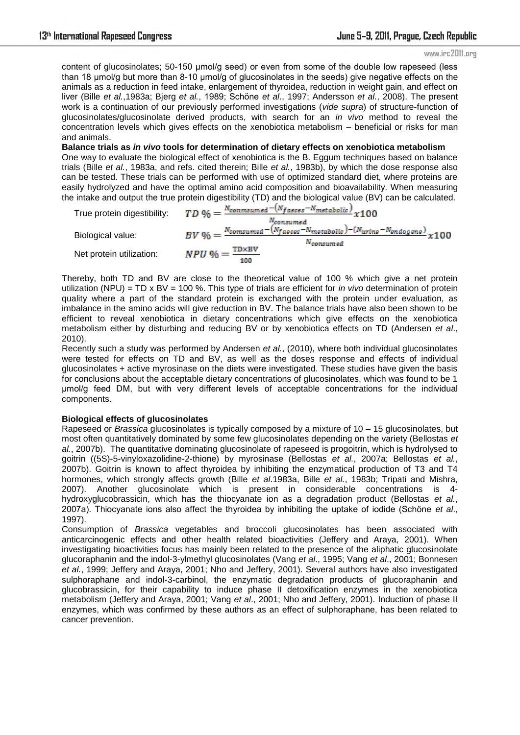#### www.irc2011.org

content of glucosinolates; 50-150 μmol/g seed) or even from some of the double low rapeseed (less than 18 μmol/g but more than 8-10 μmol/g of glucosinolates in the seeds) give negative effects on the animals as a reduction in feed intake, enlargement of thyroidea, reduction in weight gain, and effect on liver (Bille *et al.*,1983a; Bjerg *et al.*, 1989; Schöne *et al*., 1997; Andersson *et al.*, 2008). The present work is a continuation of our previously performed investigations (*vide supra*) of structure-function of glucosinolates/glucosinolate derived products, with search for an *in vivo* method to reveal the concentration levels which gives effects on the xenobiotica metabolism – beneficial or risks for man and animals.

**Balance trials as** *in vivo* **tools for determination of dietary effects on xenobiotica metabolism**  One way to evaluate the biological effect of xenobiotica is the B. Eggum techniques based on balance trials (Bille *et al.*, 1983a, and refs. cited therein; Bille *et al.*, 1983b), by which the dose response also can be tested. These trials can be performed with use of optimized standard diet, where proteins are easily hydrolyzed and have the optimal amino acid composition and bioavailability. When measuring the intake and output the true protein digestibility (TD) and the biological value (BV) can be calculated.

|                          | True protein digestibility: $TD\% = \frac{N_{commsumed} - (N_{faces} - N_{metabolic})}{N} \times 100$<br>Nconsumed |
|--------------------------|--------------------------------------------------------------------------------------------------------------------|
|                          | $BV\ 96 = \frac{N_{consumed} - (N_{faces} - N_{metabolic}) - (N_{uring} - N_{endogene})}{N_{G}} \times 100$        |
| Biological value:        | $N_{\rm consum\,ed}$                                                                                               |
| Net protein utilization: | $NPU% = \frac{TD \times BV}{T}$<br>100                                                                             |

Thereby, both TD and BV are close to the theoretical value of 100 % which give a net protein utilization (NPU) = TD x BV = 100 %. This type of trials are efficient for *in vivo* determination of protein quality where a part of the standard protein is exchanged with the protein under evaluation, as imbalance in the amino acids will give reduction in BV. The balance trials have also been shown to be efficient to reveal xenobiotica in dietary concentrations which give effects on the xenobiotica metabolism either by disturbing and reducing BV or by xenobiotica effects on TD (Andersen *et al*., 2010).

Recently such a study was performed by Andersen *et al.*, (2010), where both individual glucosinolates were tested for effects on TD and BV, as well as the doses response and effects of individual glucosinolates + active myrosinase on the diets were investigated. These studies have given the basis for conclusions about the acceptable dietary concentrations of glucosinolates, which was found to be 1 µmol/g feed DM, but with very different levels of acceptable concentrations for the individual components.

## **Biological effects of glucosinolates**

Rapeseed or *Brassica* glucosinolates is typically composed by a mixture of 10 – 15 glucosinolates, but most often quantitatively dominated by some few glucosinolates depending on the variety (Bellostas *et al.*, 2007b). The quantitative dominating glucosinolate of rapeseed is progoitrin, which is hydrolysed to goitrin ((5S)-5-vinyloxazolidine-2-thione) by myrosinase (Bellostas *et al.*, 2007a; Bellostas *et al.*, 2007b). Goitrin is known to affect thyroidea by inhibiting the enzymatical production of T3 and T4 hormones, which strongly affects growth (Bille *et al*.1983a, Bille *et al.*, 1983b; Tripati and Mishra, 2007). Another glucosinolate which is present in considerable concentrations is 4 hydroxyglucobrassicin, which has the thiocyanate ion as a degradation product (Bellostas *et al.*, 2007a). Thiocyanate ions also affect the thyroidea by inhibiting the uptake of iodide (Schöne *et al*., 1997).

Consumption of *Brassica* vegetables and broccoli glucosinolates has been associated with anticarcinogenic effects and other health related bioactivities (Jeffery and Araya, 2001). When investigating bioactivities focus has mainly been related to the presence of the aliphatic glucosinolate glucoraphanin and the indol-3-ylmethyl glucosinolates (Vang *et al*., 1995; Vang *et al*., 2001; Bonnesen *et al.*, 1999; Jeffery and Araya, 2001; Nho and Jeffery, 2001). Several authors have also investigated sulphoraphane and indol-3-carbinol, the enzymatic degradation products of glucoraphanin and glucobrassicin, for their capability to induce phase II detoxification enzymes in the xenobiotica metabolism (Jeffery and Araya, 2001; Vang *et al*., 2001; Nho and Jeffery, 2001). Induction of phase II enzymes, which was confirmed by these authors as an effect of sulphoraphane, has been related to cancer prevention.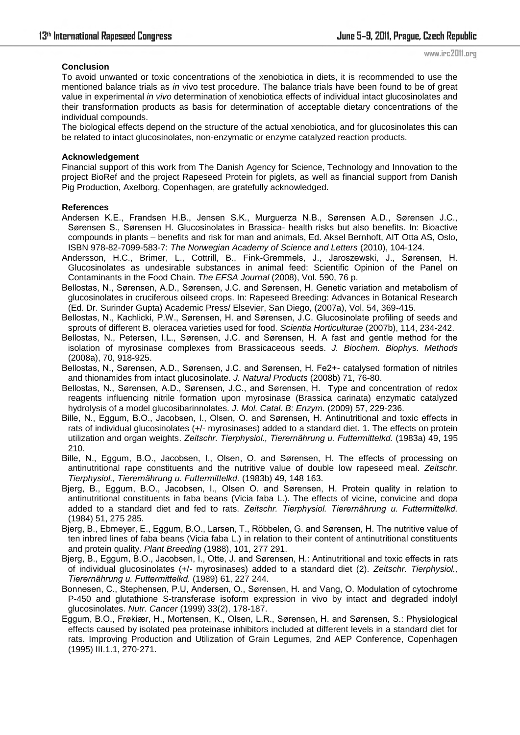## **Conclusion**

www.irc2011.org

To avoid unwanted or toxic concentrations of the xenobiotica in diets, it is recommended to use the mentioned balance trials as *in* vivo test procedure. The balance trials have been found to be of great value in experimental *in vivo* determination of xenobiotica effects of individual intact glucosinolates and their transformation products as basis for determination of acceptable dietary concentrations of the individual compounds.

The biological effects depend on the structure of the actual xenobiotica, and for glucosinolates this can be related to intact glucosinolates, non-enzymatic or enzyme catalyzed reaction products.

#### **Acknowledgement**

Financial support of this work from The Danish Agency for Science, Technology and Innovation to the project BioRef and the project Rapeseed Protein for piglets, as well as financial support from Danish Pig Production, Axelborg, Copenhagen, are gratefully acknowledged.

### **References**

- Andersen K.E., Frandsen H.B., Jensen S.K., Murguerza N.B., Sørensen A.D., Sørensen J.C., Sørensen S., Sørensen H. Glucosinolates in Brassica- health risks but also benefits. In: Bioactive compounds in plants – benefits and risk for man and animals, Ed. Aksel Bernhoft, AIT Otta AS, Oslo, ISBN 978-82-7099-583-7: *The Norwegian Academy of Science and Letters* (2010), 104-124.
- Andersson, H.C., Brimer, L., Cottrill, B., Fink-Gremmels, J., Jaroszewski, J., Sørensen, H. Glucosinolates as undesirable substances in animal feed: Scientific Opinion of the Panel on Contaminants in the Food Chain. *The EFSA Journal* (2008), Vol. 590, 76 p.
- Bellostas, N., Sørensen, A.D., Sørensen, J.C. and Sørensen, H. Genetic variation and metabolism of glucosinolates in cruciferous oilseed crops. In: Rapeseed Breeding: Advances in Botanical Research (Ed. Dr. Surinder Gupta) Academic Press/ Elsevier, San Diego, (2007a), Vol. 54, 369-415.
- Bellostas, N., Kachlicki, P.W., Sørensen, H. and Sørensen, J.C. Glucosinolate profiling of seeds and sprouts of different B. oleracea varieties used for food. *Scientia Horticulturae* (2007b), 114, 234-242.
- Bellostas, N., Petersen, I.L., Sørensen, J.C. and Sørensen, H. A fast and gentle method for the isolation of myrosinase complexes from Brassicaceous seeds. *J. Biochem. Biophys. Methods* (2008a), 70, 918-925.
- Bellostas, N., Sørensen, A.D., Sørensen, J.C. and Sørensen, H. Fe2+- catalysed formation of nitriles and thionamides from intact glucosinolate. *J. Natural Products* (2008b) 71, 76-80.
- Bellostas, N., Sørensen, A.D., Sørensen, J.C., and Sørensen, H. Type and concentration of redox reagents influencing nitrile formation upon myrosinase (Brassica carinata) enzymatic catalyzed hydrolysis of a model glucosibarinnolates. *J. Mol. Catal. B: Enzym.* (2009) 57, 229-236.
- Bille, N., Eggum, B.O., Jacobsen, I., Olsen, O. and Sørensen, H. Antinutritional and toxic effects in rats of individual glucosinolates (+/- myrosinases) added to a standard diet. 1. The effects on protein utilization and organ weights. *Zeitschr. Tierphysiol., Tierernährung u. Futtermittelkd.* (1983a) 49, 195 210.
- Bille, N., Eggum, B.O., Jacobsen, I., Olsen, O. and Sørensen, H. The effects of processing on antinutritional rape constituents and the nutritive value of double low rapeseed meal. *Zeitschr. Tierphysiol., Tierernährung u. Futtermittelkd.* (1983b) 49, 148 163.
- Bjerg, B., Eggum, B.O., Jacobsen, I., Olsen O. and Sørensen, H. Protein quality in relation to antinutritional constituents in faba beans (Vicia faba L.). The effects of vicine, convicine and dopa added to a standard diet and fed to rats. *Zeitschr. Tierphysiol. Tierernährung u. Futtermittelkd.* (1984) 51, 275 285.
- Bjerg, B., Ebmeyer, E., Eggum, B.O., Larsen, T., Röbbelen, G. and Sørensen, H. The nutritive value of ten inbred lines of faba beans (Vicia faba L.) in relation to their content of antinutritional constituents and protein quality. *Plant Breeding* (1988), 101, 277 291.
- Bjerg, B., Eggum, B.O., Jacobsen, I., Otte, J. and Sørensen, H.: Antinutritional and toxic effects in rats of individual glucosinolates (+/- myrosinases) added to a standard diet (2). *Zeitschr. Tierphysiol., Tierernährung u. Futtermittelkd.* (1989) 61, 227 244.
- Bonnesen, C., Stephensen, P.U, Andersen, O., Sørensen, H. and Vang, O. Modulation of cytochrome P-450 and glutathione S-transferase isoform expression in vivo by intact and degraded indolyl glucosinolates. *Nutr. Cancer* (1999) 33(2), 178-187.
- Eggum, B.O., Frøkiær, H., Mortensen, K., Olsen, L.R., Sørensen, H. and Sørensen, S.: Physiological effects caused by isolated pea proteinase inhibitors included at different levels in a standard diet for rats. Improving Production and Utilization of Grain Legumes, 2nd AEP Conference, Copenhagen (1995) III.1.1, 270-271.